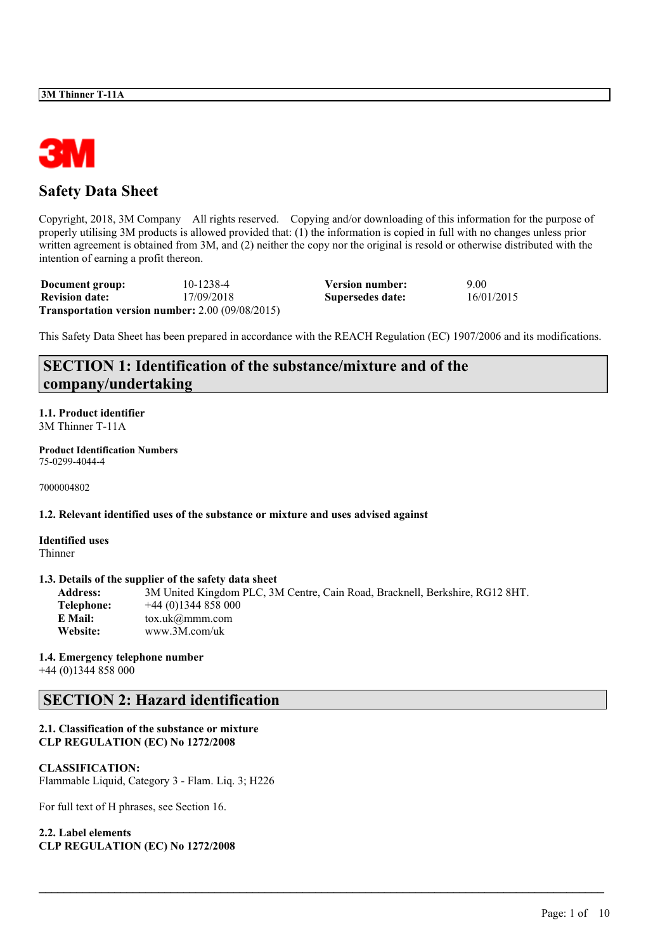

# **Safety Data Sheet**

Copyright, 2018, 3M Company All rights reserved. Copying and/or downloading of this information for the purpose of properly utilising 3M products is allowed provided that: (1) the information is copied in full with no changes unless prior written agreement is obtained from 3M, and (2) neither the copy nor the original is resold or otherwise distributed with the intention of earning a profit thereon.

| Document group:       | 10-1238-4                                                | Version number:  | 9.00       |
|-----------------------|----------------------------------------------------------|------------------|------------|
| <b>Revision date:</b> | 17/09/2018                                               | Supersedes date: | 16/01/2015 |
|                       | <b>Transportation version number:</b> $2.00(09/08/2015)$ |                  |            |

This Safety Data Sheet has been prepared in accordance with the REACH Regulation (EC) 1907/2006 and its modifications.

# **SECTION 1: Identification of the substance/mixture and of the company/undertaking**

**1.1. Product identifier** 3M Thinner T-11A

**Product Identification Numbers** 75-0299-4044-4

7000004802

**1.2. Relevant identified uses of the substance or mixture and uses advised against**

**Identified uses** Thinner

### **1.3. Details of the supplier of the safety data sheet**

**Address:** 3M United Kingdom PLC, 3M Centre, Cain Road, Bracknell, Berkshire, RG12 8HT. **Telephone:** +44 (0)1344 858 000 **E Mail:** tox.uk@mmm.com **Website:** www.3M.com/uk

 $\mathcal{L}_\mathcal{L} = \mathcal{L}_\mathcal{L} = \mathcal{L}_\mathcal{L} = \mathcal{L}_\mathcal{L} = \mathcal{L}_\mathcal{L} = \mathcal{L}_\mathcal{L} = \mathcal{L}_\mathcal{L} = \mathcal{L}_\mathcal{L} = \mathcal{L}_\mathcal{L} = \mathcal{L}_\mathcal{L} = \mathcal{L}_\mathcal{L} = \mathcal{L}_\mathcal{L} = \mathcal{L}_\mathcal{L} = \mathcal{L}_\mathcal{L} = \mathcal{L}_\mathcal{L} = \mathcal{L}_\mathcal{L} = \mathcal{L}_\mathcal{L}$ 

# **1.4. Emergency telephone number**

+44 (0)1344 858 000

# **SECTION 2: Hazard identification**

# **2.1. Classification of the substance or mixture CLP REGULATION (EC) No 1272/2008**

### **CLASSIFICATION:**

Flammable Liquid, Category 3 - Flam. Liq. 3; H226

For full text of H phrases, see Section 16.

**2.2. Label elements CLP REGULATION (EC) No 1272/2008**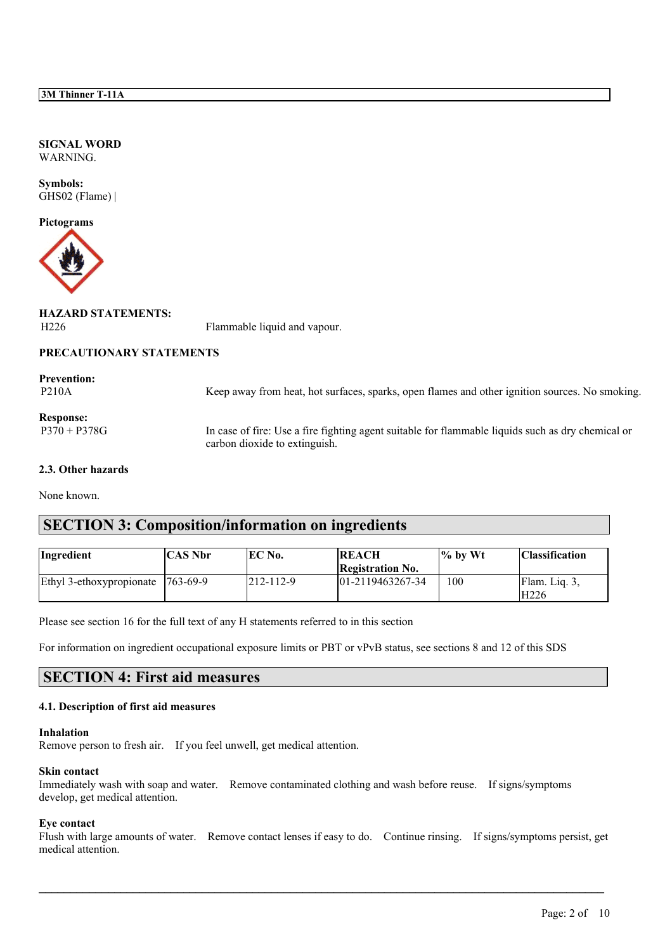**SIGNAL WORD** WARNING.

**Symbols:** GHS02 (Flame) |

**Pictograms**



**HAZARD STATEMENTS:**

H<sub>226</sub> Flammable liquid and vapour.

# **PRECAUTIONARY STATEMENTS**

**Prevention:** P210A Keep away from heat, hot surfaces, sparks, open flames and other ignition sources. No smoking. **Response:** P370 + P378G In case of fire: Use a fire fighting agent suitable for flammable liquids such as dry chemical or carbon dioxide to extinguish. **2.3. Other hazards**

None known.

# **SECTION 3: Composition/information on ingredients**

| Ingredient               | CAS Nbr         | EC No.    | <b>REACH</b>            | l% by Wt | <b>Classification</b> |
|--------------------------|-----------------|-----------|-------------------------|----------|-----------------------|
|                          |                 |           | <b>Registration No.</b> |          |                       |
| Ethyl 3-ethoxypropionate | $1763 - 69 - 9$ | 212-112-9 | $ 01-2119463267-34$     | 100      | Flam. Liq. 3.         |
|                          |                 |           |                         |          | H <sub>226</sub>      |

Please see section 16 for the full text of any H statements referred to in this section

For information on ingredient occupational exposure limits or PBT or vPvB status, see sections 8 and 12 of this SDS

# **SECTION 4: First aid measures**

### **4.1. Description of first aid measures**

#### **Inhalation**

Remove person to fresh air. If you feel unwell, get medical attention.

### **Skin contact**

Immediately wash with soap and water. Remove contaminated clothing and wash before reuse. If signs/symptoms develop, get medical attention.

### **Eye contact**

Flush with large amounts of water. Remove contact lenses if easy to do. Continue rinsing. If signs/symptoms persist, get medical attention.

 $\mathcal{L}_\mathcal{L} = \mathcal{L}_\mathcal{L} = \mathcal{L}_\mathcal{L} = \mathcal{L}_\mathcal{L} = \mathcal{L}_\mathcal{L} = \mathcal{L}_\mathcal{L} = \mathcal{L}_\mathcal{L} = \mathcal{L}_\mathcal{L} = \mathcal{L}_\mathcal{L} = \mathcal{L}_\mathcal{L} = \mathcal{L}_\mathcal{L} = \mathcal{L}_\mathcal{L} = \mathcal{L}_\mathcal{L} = \mathcal{L}_\mathcal{L} = \mathcal{L}_\mathcal{L} = \mathcal{L}_\mathcal{L} = \mathcal{L}_\mathcal{L}$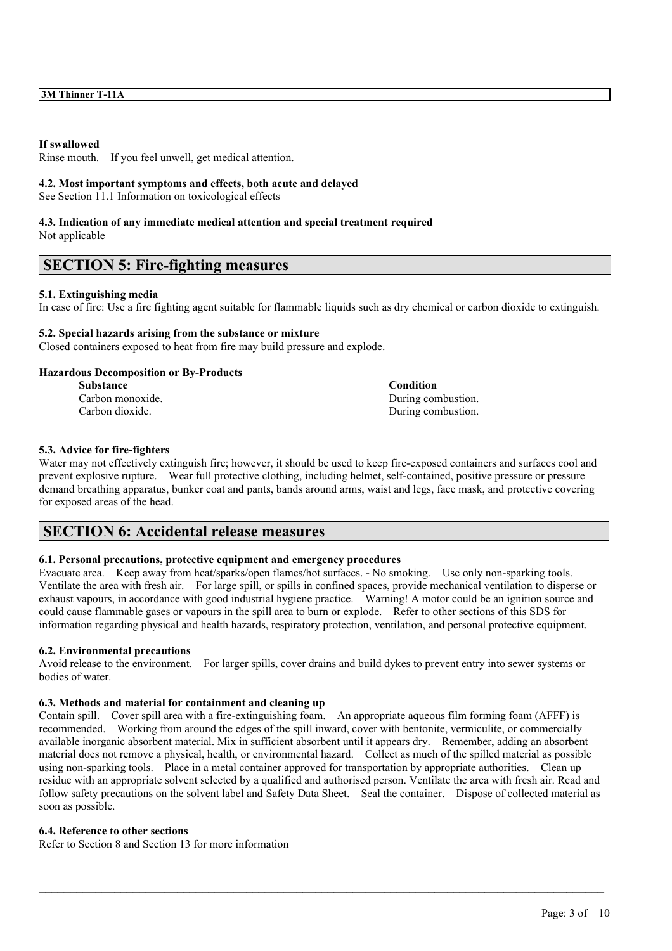### **If swallowed**

Rinse mouth. If you feel unwell, get medical attention.

### **4.2. Most important symptoms and effects, both acute and delayed**

See Section 11.1 Information on toxicological effects

### **4.3. Indication of any immediate medical attention and special treatment required** Not applicable

# **SECTION 5: Fire-fighting measures**

### **5.1. Extinguishing media**

In case of fire: Use a fire fighting agent suitable for flammable liquids such as dry chemical or carbon dioxide to extinguish.

# **5.2. Special hazards arising from the substance or mixture**

Closed containers exposed to heat from fire may build pressure and explode.

### **Hazardous Decomposition or By-Products**

**Substance Condition** Carbon monoxide. During combustion.<br>
Carbon dioxide. During combustion.<br>
During combustion.

During combustion.

### **5.3. Advice for fire-fighters**

Water may not effectively extinguish fire; however, it should be used to keep fire-exposed containers and surfaces cool and prevent explosive rupture. Wear full protective clothing, including helmet, self-contained, positive pressure or pressure demand breathing apparatus, bunker coat and pants, bands around arms, waist and legs, face mask, and protective covering for exposed areas of the head.

# **SECTION 6: Accidental release measures**

# **6.1. Personal precautions, protective equipment and emergency procedures**

Evacuate area. Keep away from heat/sparks/open flames/hot surfaces. - No smoking. Use only non-sparking tools. Ventilate the area with fresh air. For large spill, or spills in confined spaces, provide mechanical ventilation to disperse or exhaust vapours, in accordance with good industrial hygiene practice. Warning! A motor could be an ignition source and could cause flammable gases or vapours in the spill area to burn or explode. Refer to other sections of this SDS for information regarding physical and health hazards, respiratory protection, ventilation, and personal protective equipment.

# **6.2. Environmental precautions**

Avoid release to the environment. For larger spills, cover drains and build dykes to prevent entry into sewer systems or bodies of water.

# **6.3. Methods and material for containment and cleaning up**

Contain spill. Cover spill area with a fire-extinguishing foam. An appropriate aqueous film forming foam (AFFF) is recommended. Working from around the edges of the spill inward, cover with bentonite, vermiculite, or commercially available inorganic absorbent material. Mix in sufficient absorbent until it appears dry. Remember, adding an absorbent material does not remove a physical, health, or environmental hazard. Collect as much of the spilled material as possible using non-sparking tools. Place in a metal container approved for transportation by appropriate authorities. Clean up residue with an appropriate solvent selected by a qualified and authorised person. Ventilate the area with fresh air. Read and follow safety precautions on the solvent label and Safety Data Sheet. Seal the container. Dispose of collected material as soon as possible.

 $\mathcal{L}_\mathcal{L} = \mathcal{L}_\mathcal{L} = \mathcal{L}_\mathcal{L} = \mathcal{L}_\mathcal{L} = \mathcal{L}_\mathcal{L} = \mathcal{L}_\mathcal{L} = \mathcal{L}_\mathcal{L} = \mathcal{L}_\mathcal{L} = \mathcal{L}_\mathcal{L} = \mathcal{L}_\mathcal{L} = \mathcal{L}_\mathcal{L} = \mathcal{L}_\mathcal{L} = \mathcal{L}_\mathcal{L} = \mathcal{L}_\mathcal{L} = \mathcal{L}_\mathcal{L} = \mathcal{L}_\mathcal{L} = \mathcal{L}_\mathcal{L}$ 

### **6.4. Reference to other sections**

Refer to Section 8 and Section 13 for more information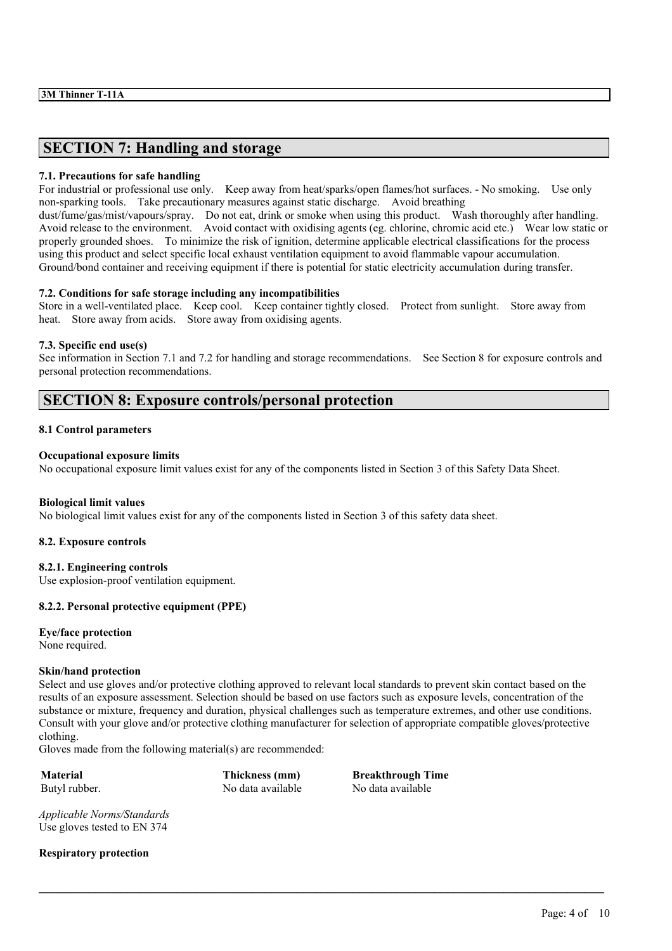# **SECTION 7: Handling and storage**

### **7.1. Precautions for safe handling**

For industrial or professional use only. Keep away from heat/sparks/open flames/hot surfaces. - No smoking. Use only non-sparking tools. Take precautionary measures against static discharge. Avoid breathing dust/fume/gas/mist/vapours/spray. Do not eat, drink or smoke when using this product. Wash thoroughly after handling. Avoid release to the environment. Avoid contact with oxidising agents (eg. chlorine, chromic acid etc.) Wear low static or properly grounded shoes. To minimize the risk of ignition, determine applicable electrical classifications for the process using this product and select specific local exhaust ventilation equipment to avoid flammable vapour accumulation. Ground/bond container and receiving equipment if there is potential for static electricity accumulation during transfer.

### **7.2. Conditions for safe storage including any incompatibilities**

Store in a well-ventilated place. Keep cool. Keep container tightly closed. Protect from sunlight. Store away from heat. Store away from acids. Store away from oxidising agents.

### **7.3. Specific end use(s)**

See information in Section 7.1 and 7.2 for handling and storage recommendations. See Section 8 for exposure controls and personal protection recommendations.

# **SECTION 8: Exposure controls/personal protection**

### **8.1 Control parameters**

### **Occupational exposure limits**

No occupational exposure limit values exist for any of the components listed in Section 3 of this Safety Data Sheet.

### **Biological limit values**

No biological limit values exist for any of the components listed in Section 3 of this safety data sheet.

### **8.2. Exposure controls**

### **8.2.1. Engineering controls**

Use explosion-proof ventilation equipment.

# **8.2.2. Personal protective equipment (PPE)**

# **Eye/face protection**

None required.

### **Skin/hand protection**

Select and use gloves and/or protective clothing approved to relevant local standards to prevent skin contact based on the results of an exposure assessment. Selection should be based on use factors such as exposure levels, concentration of the substance or mixture, frequency and duration, physical challenges such as temperature extremes, and other use conditions. Consult with your glove and/or protective clothing manufacturer for selection of appropriate compatible gloves/protective clothing.

 $\mathcal{L}_\mathcal{L} = \mathcal{L}_\mathcal{L} = \mathcal{L}_\mathcal{L} = \mathcal{L}_\mathcal{L} = \mathcal{L}_\mathcal{L} = \mathcal{L}_\mathcal{L} = \mathcal{L}_\mathcal{L} = \mathcal{L}_\mathcal{L} = \mathcal{L}_\mathcal{L} = \mathcal{L}_\mathcal{L} = \mathcal{L}_\mathcal{L} = \mathcal{L}_\mathcal{L} = \mathcal{L}_\mathcal{L} = \mathcal{L}_\mathcal{L} = \mathcal{L}_\mathcal{L} = \mathcal{L}_\mathcal{L} = \mathcal{L}_\mathcal{L}$ 

Gloves made from the following material(s) are recommended:

Butyl rubber. No data available No data available No data available

**Material Thickness (mm) Breakthrough Time**

*Applicable Norms/Standards* Use gloves tested to EN 374

**Respiratory protection**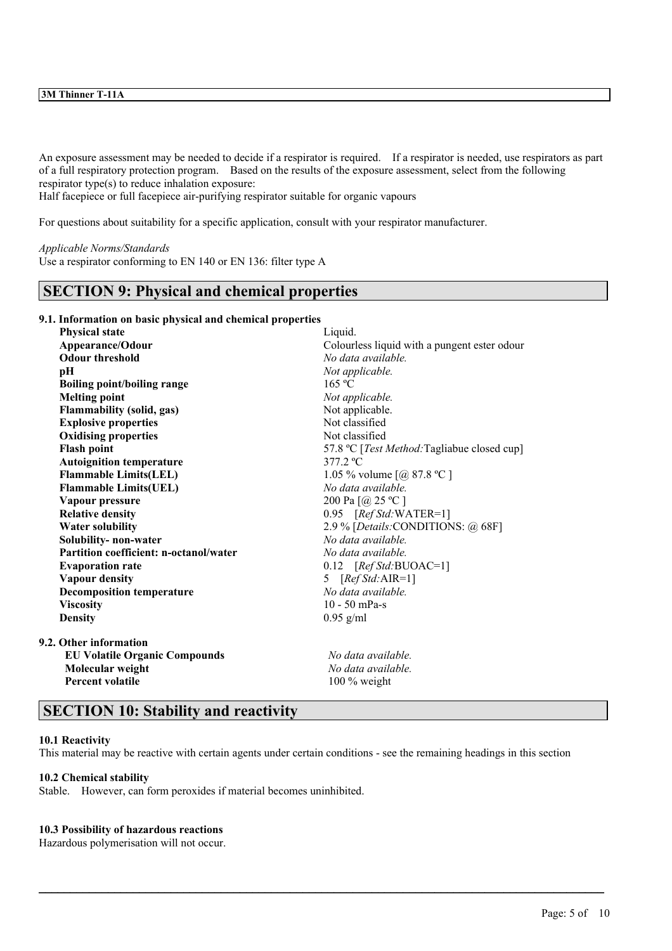# **3M Thinner T-11A**

An exposure assessment may be needed to decide if a respirator is required. If a respirator is needed, use respirators as part of a full respiratory protection program. Based on the results of the exposure assessment, select from the following respirator type(s) to reduce inhalation exposure:

Half facepiece or full facepiece air-purifying respirator suitable for organic vapours

For questions about suitability for a specific application, consult with your respirator manufacturer.

#### *Applicable Norms/Standards*

Use a respirator conforming to EN 140 or EN 136: filter type A

# **SECTION 9: Physical and chemical properties**

**9.1. Information on basic physical and chemical properties**

| <b>Physical state</b><br>Liquid.       |                                                     |  |  |
|----------------------------------------|-----------------------------------------------------|--|--|
| Appearance/Odour                       | Colourless liquid with a pungent ester odour        |  |  |
| <b>Odour threshold</b>                 | No data available                                   |  |  |
| рH                                     | Not applicable.                                     |  |  |
| <b>Boiling point/boiling range</b>     | 165 °C                                              |  |  |
| <b>Melting point</b>                   | Not applicable.                                     |  |  |
| <b>Flammability (solid, gas)</b>       | Not applicable.                                     |  |  |
| <b>Explosive properties</b>            | Not classified                                      |  |  |
| <b>Oxidising properties</b>            | Not classified                                      |  |  |
| <b>Flash point</b>                     | 57.8 °C [ <i>Test Method</i> :Tagliabue closed cup] |  |  |
| <b>Autoignition temperature</b>        | $377.2 \text{ °C}$                                  |  |  |
| <b>Flammable Limits(LEL)</b>           | 1.05 % volume $[@, 87.8 °C]$                        |  |  |
| <b>Flammable Limits(UEL)</b>           | No data available.                                  |  |  |
| Vapour pressure                        | 200 Pa [@ 25 °C ]                                   |  |  |
| <b>Relative density</b>                | $0.95$ [Ref Std: WATER=1]                           |  |  |
| <b>Water solubility</b>                | 2.9 % [Details: CONDITIONS: @ 68F]                  |  |  |
| Solubility- non-water                  | No data available.                                  |  |  |
| Partition coefficient: n-octanol/water | No data available.                                  |  |  |
| <b>Evaporation rate</b>                | $0.12$ [Ref Std:BUOAC=1]                            |  |  |
| <b>Vapour density</b>                  | 5 $[RefStd:AIR=1]$                                  |  |  |
| <b>Decomposition temperature</b>       | No data available.                                  |  |  |
| <b>Viscosity</b>                       | $10 - 50$ mPa-s                                     |  |  |
| <b>Density</b>                         | $0.95$ g/ml                                         |  |  |
| 9.2. Other information                 |                                                     |  |  |
| <b>EU Volatile Organic Compounds</b>   | No data available.                                  |  |  |
| Molecular weight                       | No data available.                                  |  |  |
| <b>Percent volatile</b>                | 100 % weight                                        |  |  |

# **SECTION 10: Stability and reactivity**

### **10.1 Reactivity**

This material may be reactive with certain agents under certain conditions - see the remaining headings in this section

 $\mathcal{L}_\mathcal{L} = \mathcal{L}_\mathcal{L} = \mathcal{L}_\mathcal{L} = \mathcal{L}_\mathcal{L} = \mathcal{L}_\mathcal{L} = \mathcal{L}_\mathcal{L} = \mathcal{L}_\mathcal{L} = \mathcal{L}_\mathcal{L} = \mathcal{L}_\mathcal{L} = \mathcal{L}_\mathcal{L} = \mathcal{L}_\mathcal{L} = \mathcal{L}_\mathcal{L} = \mathcal{L}_\mathcal{L} = \mathcal{L}_\mathcal{L} = \mathcal{L}_\mathcal{L} = \mathcal{L}_\mathcal{L} = \mathcal{L}_\mathcal{L}$ 

### **10.2 Chemical stability**

Stable. However, can form peroxides if material becomes uninhibited.

### **10.3 Possibility of hazardous reactions**

Hazardous polymerisation will not occur.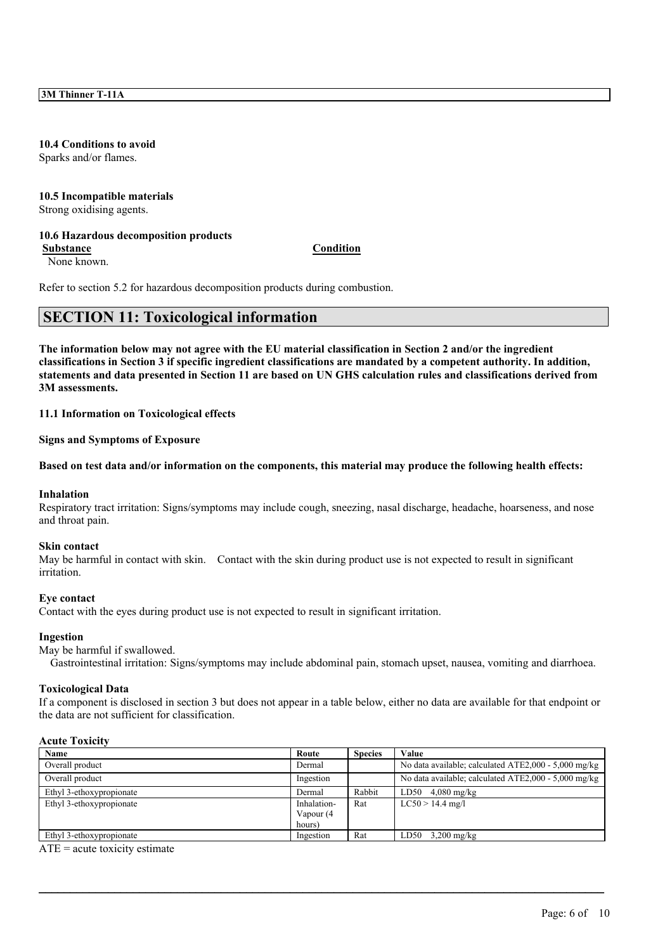# **10.4 Conditions to avoid**

Sparks and/or flames.

### **10.5 Incompatible materials** Strong oxidising agents.

# **10.6 Hazardous decomposition products**

**Substance Condition**

None known.

Refer to section 5.2 for hazardous decomposition products during combustion.

# **SECTION 11: Toxicological information**

The information below may not agree with the EU material classification in Section 2 and/or the ingredient classifications in Section 3 if specific ingredient classifications are mandated by a competent authority. In addition, statements and data presented in Section 11 are based on UN GHS calculation rules and classifications derived from **3M assessments.**

**11.1 Information on Toxicological effects**

**Signs and Symptoms of Exposure**

Based on test data and/or information on the components, this material may produce the following health effects:

### **Inhalation**

Respiratory tract irritation: Signs/symptoms may include cough, sneezing, nasal discharge, headache, hoarseness, and nose and throat pain.

### **Skin contact**

May be harmful in contact with skin. Contact with the skin during product use is not expected to result in significant irritation.

### **Eye contact**

Contact with the eyes during product use is not expected to result in significant irritation.

### **Ingestion**

### May be harmful if swallowed.

Gastrointestinal irritation: Signs/symptoms may include abdominal pain, stomach upset, nausea, vomiting and diarrhoea.

### **Toxicological Data**

If a component is disclosed in section 3 but does not appear in a table below, either no data are available for that endpoint or the data are not sufficient for classification.

# **Acute Toxicity**

| Name                     | Route       | <b>Species</b> | Value                                                |
|--------------------------|-------------|----------------|------------------------------------------------------|
| Overall product          | Dermal      |                | No data available; calculated ATE2,000 - 5,000 mg/kg |
| Overall product          | Ingestion   |                | No data available; calculated ATE2,000 - 5,000 mg/kg |
| Ethyl 3-ethoxypropionate | Dermal      | Rabbit         | $4,080$ mg/kg<br>LD50                                |
| Ethyl 3-ethoxypropionate | Inhalation- | Rat            | $LC50 > 14.4$ mg/l                                   |
|                          | Vapour (4   |                |                                                      |
|                          | hours)      |                |                                                      |
| Ethyl 3-ethoxypropionate | Ingestion   | Rat            | LD50<br>$3,200 \text{ mg/kg}$                        |

 $\mathcal{L}_\mathcal{L} = \mathcal{L}_\mathcal{L} = \mathcal{L}_\mathcal{L} = \mathcal{L}_\mathcal{L} = \mathcal{L}_\mathcal{L} = \mathcal{L}_\mathcal{L} = \mathcal{L}_\mathcal{L} = \mathcal{L}_\mathcal{L} = \mathcal{L}_\mathcal{L} = \mathcal{L}_\mathcal{L} = \mathcal{L}_\mathcal{L} = \mathcal{L}_\mathcal{L} = \mathcal{L}_\mathcal{L} = \mathcal{L}_\mathcal{L} = \mathcal{L}_\mathcal{L} = \mathcal{L}_\mathcal{L} = \mathcal{L}_\mathcal{L}$ 

 $ATE = acute$  toxicity estimate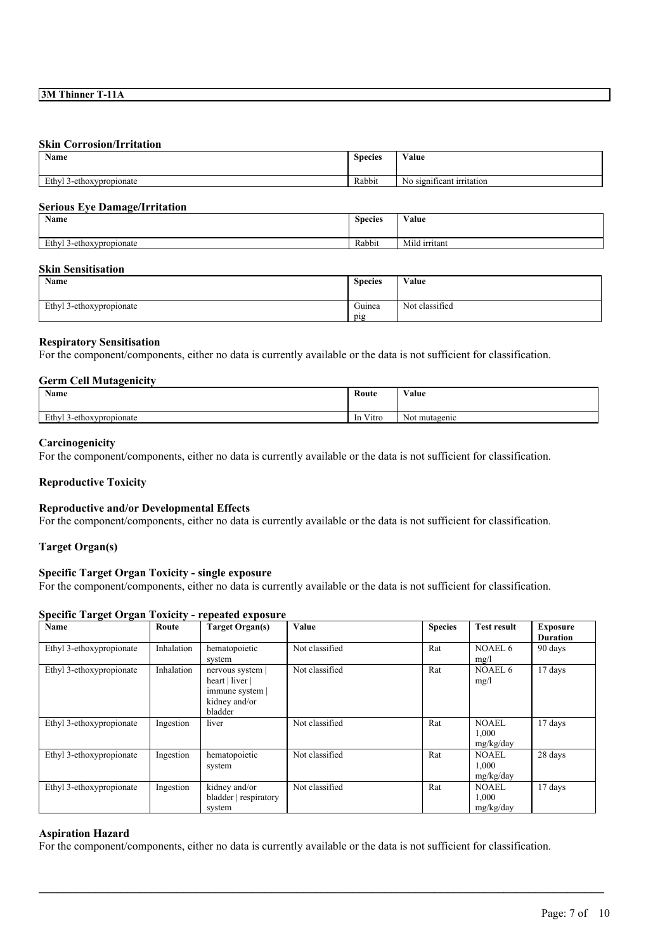# **Skin Corrosion/Irritation**

| Name                             | $\sim$<br><b>Species</b> | <b>WY 3</b><br>⁄ alue<br>$\sim$ $\sim$                          |
|----------------------------------|--------------------------|-----------------------------------------------------------------|
| Ethyl<br>3-ethoxypropionate<br>╯ | Rabbit                   | - -<br>$\mathbf{v}$<br>significant irritation<br>N <sub>0</sub> |

# **Serious Eye Damage/Irritation**

| <b>Name</b>                    | <b>Species</b> | Value         |
|--------------------------------|----------------|---------------|
| Ethyl<br>/l 3-ethoxypropionate | Rabbit         | Mild irritant |

### **Skin Sensitisation**

| <b>Name</b>              | <b>Species</b> | Value          |
|--------------------------|----------------|----------------|
| Ethyl 3-ethoxypropionate | Guinea<br>pig  | Not classified |

# **Respiratory Sensitisation**

For the component/components, either no data is currently available or the data is not sufficient for classification.

### **Germ Cell Mutagenicity**

| <b>Name</b>                   | Route                                  | Value            |
|-------------------------------|----------------------------------------|------------------|
| Ethyl<br>l 3-ethoxypropionate | <b>TAXA</b><br>Vitro<br><sub>1</sub> n | mutagenic<br>Not |

### **Carcinogenicity**

For the component/components, either no data is currently available or the data is not sufficient for classification.

# **Reproductive Toxicity**

### **Reproductive and/or Developmental Effects**

For the component/components, either no data is currently available or the data is not sufficient for classification.

### **Target Organ(s)**

# **Specific Target Organ Toxicity - single exposure**

For the component/components, either no data is currently available or the data is not sufficient for classification.

# **Specific Target Organ Toxicity - repeated exposure**

| Name                     | Route      | <b>Target Organ(s)</b>                                                         | Value          | <b>Species</b> | <b>Test result</b>          | <b>Exposure</b><br><b>Duration</b> |
|--------------------------|------------|--------------------------------------------------------------------------------|----------------|----------------|-----------------------------|------------------------------------|
| Ethyl 3-ethoxypropionate | Inhalation | hematopoietic<br>system                                                        | Not classified | Rat            | NOAEL6<br>mg/l              | 90 days                            |
| Ethyl 3-ethoxypropionate | Inhalation | nervous system<br>heart   liver  <br>immune system<br>kidney and/or<br>bladder | Not classified | Rat            | NOAEL 6<br>mg/l             | 17 days                            |
| Ethyl 3-ethoxypropionate | Ingestion  | liver                                                                          | Not classified | Rat            | NOAEL<br>1,000<br>mg/kg/day | 17 days                            |
| Ethyl 3-ethoxypropionate | Ingestion  | hematopoietic<br>system                                                        | Not classified | Rat            | NOAEL<br>1,000<br>mg/kg/day | 28 days                            |
| Ethyl 3-ethoxypropionate | Ingestion  | kidney and/or<br>bladder   respiratory<br>system                               | Not classified | Rat            | NOAEL<br>1,000<br>mg/kg/day | 17 days                            |

### **Aspiration Hazard**

For the component/components, either no data is currently available or the data is not sufficient for classification.

 $\mathcal{L}_\mathcal{L} = \mathcal{L}_\mathcal{L} = \mathcal{L}_\mathcal{L} = \mathcal{L}_\mathcal{L} = \mathcal{L}_\mathcal{L} = \mathcal{L}_\mathcal{L} = \mathcal{L}_\mathcal{L} = \mathcal{L}_\mathcal{L} = \mathcal{L}_\mathcal{L} = \mathcal{L}_\mathcal{L} = \mathcal{L}_\mathcal{L} = \mathcal{L}_\mathcal{L} = \mathcal{L}_\mathcal{L} = \mathcal{L}_\mathcal{L} = \mathcal{L}_\mathcal{L} = \mathcal{L}_\mathcal{L} = \mathcal{L}_\mathcal{L}$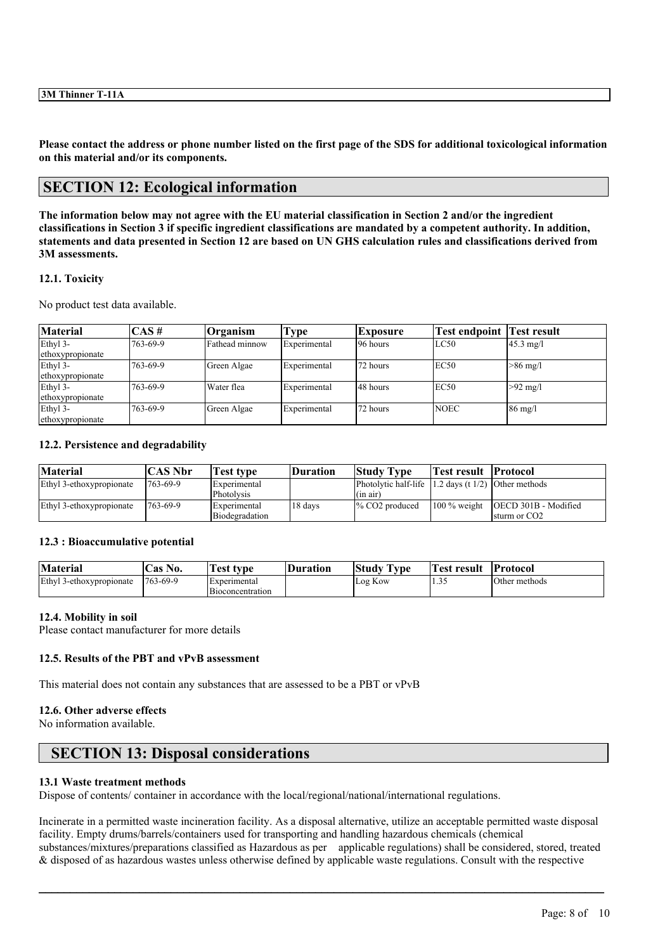Please contact the address or phone number listed on the first page of the SDS for additional toxicological information **on this material and/or its components.**

# **SECTION 12: Ecological information**

The information below may not agree with the EU material classification in Section 2 and/or the ingredient classifications in Section 3 if specific ingredient classifications are mandated by a competent authority. In addition, statements and data presented in Section 12 are based on UN GHS calculation rules and classifications derived from **3M assessments.**

# **12.1. Toxicity**

No product test data available.

| Material         | $\overline{CAS}$ # | <b>Organism</b> | Type         | <b>Exposure</b> | Test endpoint | <b>Test result</b>  |
|------------------|--------------------|-----------------|--------------|-----------------|---------------|---------------------|
| Ethyl 3-         | 763-69-9           | Fathead minnow  | Experimental | 196 hours       | LC50          | $45.3 \text{ mg}/1$ |
| ethoxypropionate |                    |                 |              |                 |               |                     |
| Ethyl 3-         | 763-69-9           | Green Algae     | Experimental | 72 hours        | EC50          | $>86$ mg/l          |
| ethoxypropionate |                    |                 |              |                 |               |                     |
| Ethyl 3-         | 763-69-9           | Water flea      | Experimental | 48 hours        | EC50          | $>92$ mg/l          |
| ethoxypropionate |                    |                 |              |                 |               |                     |
| Ethyl 3-         | 763-69-9           | Green Algae     | Experimental | 72 hours        | <b>NOEC</b>   | $86 \text{ mg}/l$   |
| ethoxypropionate |                    |                 |              |                 |               |                     |

# **12.2. Persistence and degradability**

| <b>Material</b>          | CAS Nbr  | Test type                      | Duration | <b>Study Type</b>                                                                      | Test result   Protocol |                                                                 |
|--------------------------|----------|--------------------------------|----------|----------------------------------------------------------------------------------------|------------------------|-----------------------------------------------------------------|
| Ethyl 3-ethoxypropionate | 763-69-9 | Experimental<br>Photolysis     |          | Photolytic half-life $ 1.2 \text{ days}$ (t $1/2$ ) Other methods<br>$(\text{in air})$ |                        |                                                                 |
| Ethyl 3-ethoxypropionate | 763-69-9 | Experimental<br>Biodegradation | 18 days  | $\%$ CO <sub>2</sub> produced                                                          |                        | 100 % weight   OECD 301B - Modified<br>sturm or CO <sub>2</sub> |

# **12.3 : Bioaccumulative potential**

| <b>Material</b>          | as °<br>No.     | est<br>tvpe                      | <b>Duration</b> | <b>CONTRACTOR</b><br>Study<br>I vpe | −<br>Test<br>result | <b>Protocol</b> |
|--------------------------|-----------------|----------------------------------|-----------------|-------------------------------------|---------------------|-----------------|
| Ethyl 3-ethoxypropionate | $1763 - 69 - 9$ | Experimental<br>Bioconcentration |                 | Log Kow                             | . . <i>.</i>        | Other methods   |

# **12.4. Mobility in soil**

Please contact manufacturer for more details

# **12.5. Results of the PBT and vPvB assessment**

This material does not contain any substances that are assessed to be a PBT or vPvB

### **12.6. Other adverse effects**

No information available.

# **SECTION 13: Disposal considerations**

### **13.1 Waste treatment methods**

Dispose of contents/ container in accordance with the local/regional/national/international regulations.

Incinerate in a permitted waste incineration facility. As a disposal alternative, utilize an acceptable permitted waste disposal facility. Empty drums/barrels/containers used for transporting and handling hazardous chemicals (chemical substances/mixtures/preparations classified as Hazardous as per applicable regulations) shall be considered, stored, treated & disposed of as hazardous wastes unless otherwise defined by applicable waste regulations. Consult with the respective

 $\mathcal{L}_\mathcal{L} = \mathcal{L}_\mathcal{L} = \mathcal{L}_\mathcal{L} = \mathcal{L}_\mathcal{L} = \mathcal{L}_\mathcal{L} = \mathcal{L}_\mathcal{L} = \mathcal{L}_\mathcal{L} = \mathcal{L}_\mathcal{L} = \mathcal{L}_\mathcal{L} = \mathcal{L}_\mathcal{L} = \mathcal{L}_\mathcal{L} = \mathcal{L}_\mathcal{L} = \mathcal{L}_\mathcal{L} = \mathcal{L}_\mathcal{L} = \mathcal{L}_\mathcal{L} = \mathcal{L}_\mathcal{L} = \mathcal{L}_\mathcal{L}$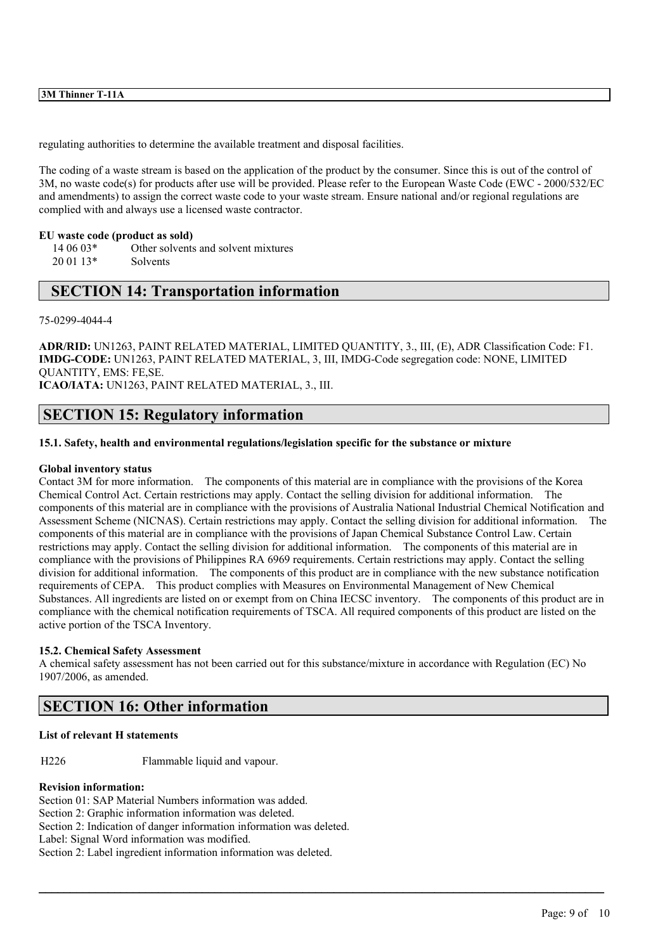# **3M Thinner T-11A**

regulating authorities to determine the available treatment and disposal facilities.

The coding of a waste stream is based on the application of the product by the consumer. Since this is out of the control of 3M, no waste code(s) for products after use will be provided. Please refer to the European Waste Code (EWC - 2000/532/EC and amendments) to assign the correct waste code to your waste stream. Ensure national and/or regional regulations are complied with and always use a licensed waste contractor.

### **EU waste code (product as sold)**

14 06 03\* Other solvents and solvent mixtures 20 01 13\* Solvents

# **SECTION 14: Transportation information**

### 75-0299-4044-4

**ADR/RID:** UN1263, PAINT RELATED MATERIAL, LIMITED QUANTITY, 3., III, (E), ADR Classification Code: F1. **IMDG-CODE:** UN1263, PAINT RELATED MATERIAL, 3, III, IMDG-Code segregation code: NONE, LIMITED QUANTITY, EMS: FE,SE.

**ICAO/IATA:** UN1263, PAINT RELATED MATERIAL, 3., III.

# **SECTION 15: Regulatory information**

# **15.1. Safety, health and environmental regulations/legislation specific for the substance or mixture**

### **Global inventory status**

Contact 3M for more information. The components of this material are in compliance with the provisions of the Korea Chemical Control Act. Certain restrictions may apply. Contact the selling division for additional information. The components of this material are in compliance with the provisions of Australia National Industrial Chemical Notification and Assessment Scheme (NICNAS). Certain restrictions may apply. Contact the selling division for additional information. The components of this material are in compliance with the provisions of Japan Chemical Substance Control Law. Certain restrictions may apply. Contact the selling division for additional information. The components of this material are in compliance with the provisions of Philippines RA 6969 requirements. Certain restrictions may apply. Contact the selling division for additional information. The components of this product are in compliance with the new substance notification requirements of CEPA. This product complies with Measures on Environmental Management of New Chemical Substances. All ingredients are listed on or exempt from on China IECSC inventory. The components of this product are in compliance with the chemical notification requirements of TSCA. All required components of this product are listed on the active portion of the TSCA Inventory.

# **15.2. Chemical Safety Assessment**

A chemical safety assessment has not been carried out for this substance/mixture in accordance with Regulation (EC) No 1907/2006, as amended.

 $\mathcal{L}_\mathcal{L} = \mathcal{L}_\mathcal{L} = \mathcal{L}_\mathcal{L} = \mathcal{L}_\mathcal{L} = \mathcal{L}_\mathcal{L} = \mathcal{L}_\mathcal{L} = \mathcal{L}_\mathcal{L} = \mathcal{L}_\mathcal{L} = \mathcal{L}_\mathcal{L} = \mathcal{L}_\mathcal{L} = \mathcal{L}_\mathcal{L} = \mathcal{L}_\mathcal{L} = \mathcal{L}_\mathcal{L} = \mathcal{L}_\mathcal{L} = \mathcal{L}_\mathcal{L} = \mathcal{L}_\mathcal{L} = \mathcal{L}_\mathcal{L}$ 

# **SECTION 16: Other information**

# **List of relevant H statements**

H226 Flammable liquid and vapour.

# **Revision information:**

Section 01: SAP Material Numbers information was added. Section 2: Graphic information information was deleted. Section 2: Indication of danger information information was deleted. Label: Signal Word information was modified. Section 2: Label ingredient information information was deleted.